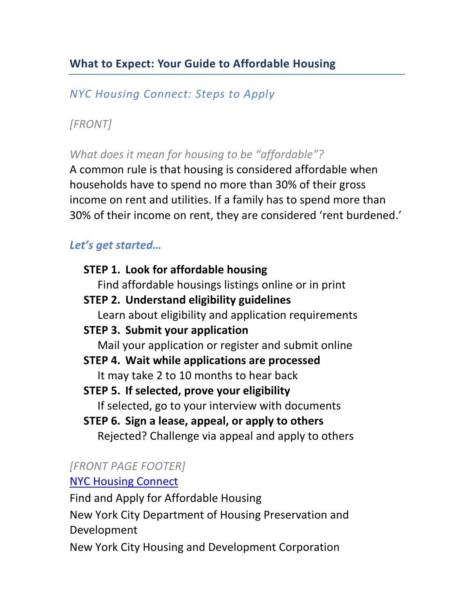# *NYC Housing Connect: Steps to Apply*

# *[FRONT]*

*What does it mean for housing to be "affordable"?*

A common rule is that housing is considered affordable when households have to spend no more than 30% of their gross income on rent and utilities. If a family has to spend more than 30% of their income on rent, they are considered 'rent burdened.'

# *Let's get started…*

| <b>STEP 1. Look for affordable housing</b>           |
|------------------------------------------------------|
| Find affordable housings listings online or in print |
| <b>STEP 2. Understand eligibility guidelines</b>     |
| Learn about eligibility and application requirements |
| <b>STEP 3. Submit your application</b>               |
| Mail your application or register and submit online  |
| STEP 4. Wait while applications are processed        |
| It may take 2 to 10 months to hear back              |
| STEP 5. If selected, prove your eligibility          |
| If selected, go to your interview with documents     |
| STEP 6. Sign a lease, appeal, or apply to others     |
| Rejected? Challenge via appeal and apply to others   |
|                                                      |

# *[FRONT PAGE FOOTER]*

# [NYC Housing Connect](http://www.nyc.gov/housingconnect)

Find and Apply for Affordable Housing New York City Department of Housing Preservation and Development

New York City Housing and Development Corporation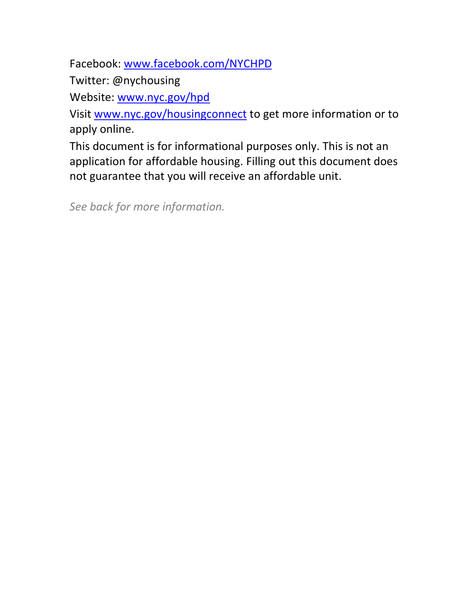Facebook: [www.facebook.com/NYCHPD](http://www.facebook.com/NYCHPD)

Twitter: @nychousing

Website: [www.nyc.gov/hpd](http://www.nyc.gov/hpd)

Visit [www.nyc.gov/housingconnect](http://www.nyc.gov/housingconnect) to get more information or to apply online.

This document is for informational purposes only. This is not an application for affordable housing. Filling out this document does not guarantee that you will receive an affordable unit.

*See back for more information.*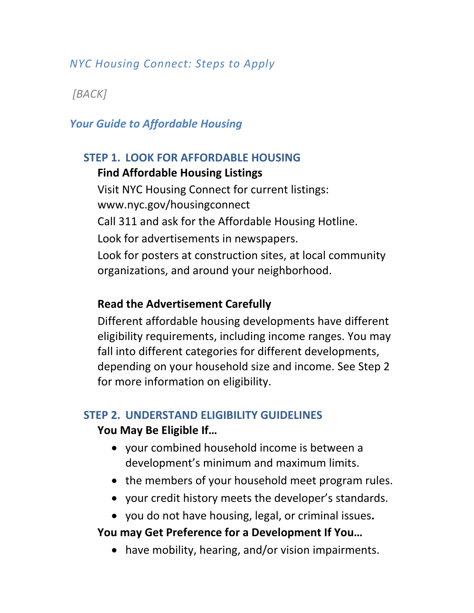### *NYC Housing Connect: Steps to Apply*

# *[BACK]*

### *Your Guide to Affordable Housing*

#### **STEP 1. LOOK FOR AFFORDABLE HOUSING**

#### **Find Affordable Housing Listings**

Visit NYC Housing Connect for current listings: www.nyc.gov/housingconnect Call 311 and ask for the Affordable Housing Hotline. Look for advertisements in newspapers. Look for posters at construction sites, at local community organizations, and around your neighborhood.

#### **Read the Advertisement Carefully**

Different affordable housing developments have different eligibility requirements, including income ranges. You may fall into different categories for different developments, depending on your household size and income. See Step 2 for more information on eligibility.

#### **STEP 2. UNDERSTAND ELIGIBILITY GUIDELINES**

#### **You May Be Eligible If…**

- your combined household income is between a development's minimum and maximum limits.
- the members of your household meet program rules.
- your credit history meets the developer's standards.
- you do not have housing, legal, or criminal issues**.**

#### **You may Get Preference for a Development If You…**

• have mobility, hearing, and/or vision impairments.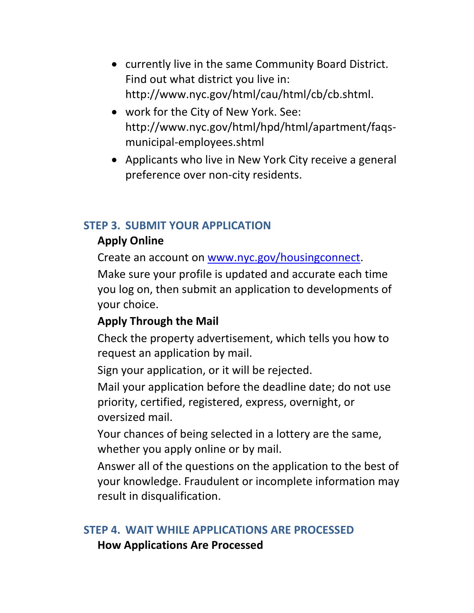- currently live in the same Community Board District. Find out what district you live in: http://www.nyc.gov/html/cau/html/cb/cb.shtml.
- work for the City of New York. See: http://www.nyc.gov/html/hpd/html/apartment/faqsmunicipal-employees.shtml
- Applicants who live in New York City receive a general preference over non-city residents.

#### **STEP 3. SUBMIT YOUR APPLICATION**

### **Apply Online**

Create an account on [www.nyc.gov/housingconnect.](http://www.nyc.gov/housingconnect)

Make sure your profile is updated and accurate each time you log on, then submit an application to developments of your choice.

### **Apply Through the Mail**

Check the property advertisement, which tells you how to request an application by mail.

Sign your application, or it will be rejected.

Mail your application before the deadline date; do not use priority, certified, registered, express, overnight, or oversized mail.

Your chances of being selected in a lottery are the same, whether you apply online or by mail.

Answer all of the questions on the application to the best of your knowledge. Fraudulent or incomplete information may result in disqualification.

#### **STEP 4. WAIT WHILE APPLICATIONS ARE PROCESSED**

**How Applications Are Processed**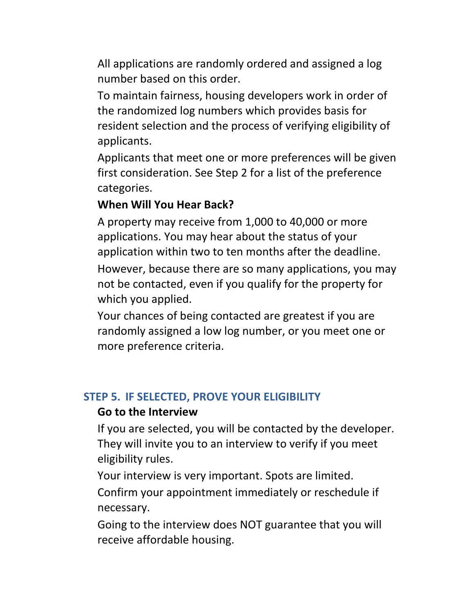All applications are randomly ordered and assigned a log number based on this order.

To maintain fairness, housing developers work in order of the randomized log numbers which provides basis for resident selection and the process of verifying eligibility of applicants.

Applicants that meet one or more preferences will be given first consideration. See Step 2 for a list of the preference categories.

### **When Will You Hear Back?**

A property may receive from 1,000 to 40,000 or more applications. You may hear about the status of your application within two to ten months after the deadline. However, because there are so many applications, you may not be contacted, even if you qualify for the property for which you applied.

Your chances of being contacted are greatest if you are randomly assigned a low log number, or you meet one or more preference criteria.

### **STEP 5. IF SELECTED, PROVE YOUR ELIGIBILITY**

#### **Go to the Interview**

If you are selected, you will be contacted by the developer. They will invite you to an interview to verify if you meet eligibility rules.

Your interview is very important. Spots are limited.

Confirm your appointment immediately or reschedule if necessary.

Going to the interview does NOT guarantee that you will receive affordable housing.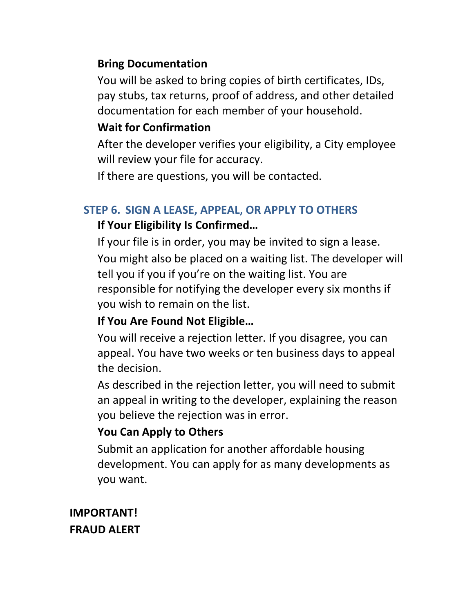#### **Bring Documentation**

You will be asked to bring copies of birth certificates, IDs, pay stubs, tax returns, proof of address, and other detailed documentation for each member of your household.

#### **Wait for Confirmation**

After the developer verifies your eligibility, a City employee will review your file for accuracy.

If there are questions, you will be contacted.

#### **STEP 6. SIGN A LEASE, APPEAL, OR APPLY TO OTHERS**

#### **If Your Eligibility Is Confirmed…**

If your file is in order, you may be invited to sign a lease. You might also be placed on a waiting list. The developer will tell you if you if you're on the waiting list. You are responsible for notifying the developer every six months if you wish to remain on the list.

#### **If You Are Found Not Eligible…**

You will receive a rejection letter. If you disagree, you can appeal. You have two weeks or ten business days to appeal the decision.

As described in the rejection letter, you will need to submit an appeal in writing to the developer, explaining the reason you believe the rejection was in error.

#### **You Can Apply to Others**

Submit an application for another affordable housing development. You can apply for as many developments as you want.

**IMPORTANT! FRAUD ALERT**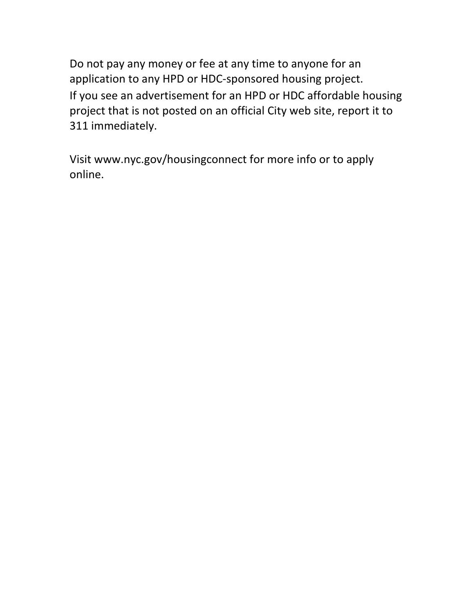Do not pay any money or fee at any time to anyone for an application to any HPD or HDC-sponsored housing project. If you see an advertisement for an HPD or HDC affordable housing project that is not posted on an official City web site, report it to 311 immediately.

Visit www.nyc.gov/housingconnect for more info or to apply online.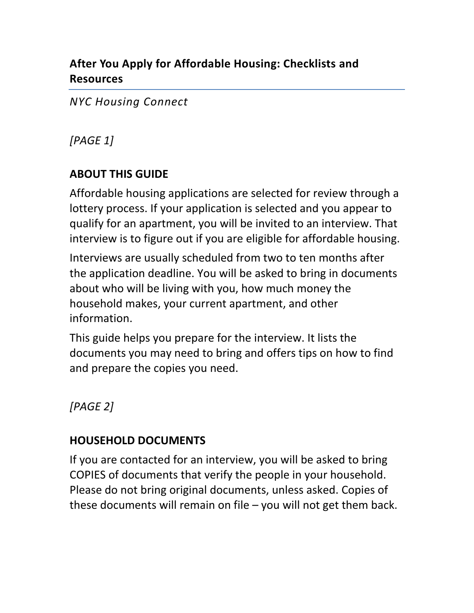### **After You Apply for Affordable Housing: Checklists and Resources**

*NYC Housing Connect* 

*[PAGE 1]*

### **ABOUT THIS GUIDE**

Affordable housing applications are selected for review through a lottery process. If your application is selected and you appear to qualify for an apartment, you will be invited to an interview. That interview is to figure out if you are eligible for affordable housing.

Interviews are usually scheduled from two to ten months after the application deadline. You will be asked to bring in documents about who will be living with you, how much money the household makes, your current apartment, and other information.

This guide helps you prepare for the interview. It lists the documents you may need to bring and offers tips on how to find and prepare the copies you need.

*[PAGE 2]*

# **HOUSEHOLD DOCUMENTS**

If you are contacted for an interview, you will be asked to bring COPIES of documents that verify the people in your household. Please do not bring original documents, unless asked. Copies of these documents will remain on file – you will not get them back.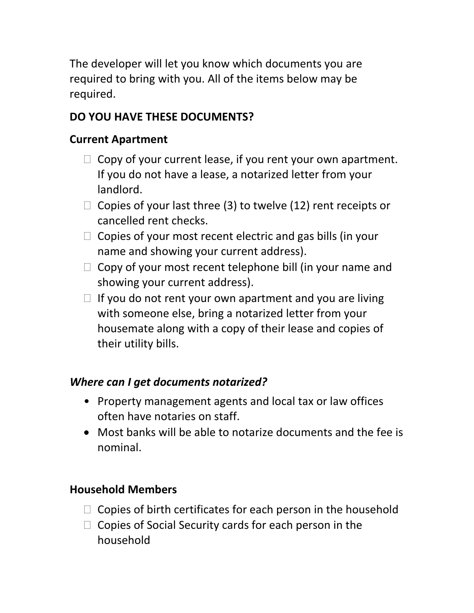The developer will let you know which documents you are required to bring with you. All of the items below may be required.

### **DO YOU HAVE THESE DOCUMENTS?**

### **Current Apartment**

- $\Box$  Copy of your current lease, if you rent your own apartment. If you do not have a lease, a notarized letter from your landlord.
- $\Box$  Copies of your last three (3) to twelve (12) rent receipts or cancelled rent checks.
- $\Box$  Copies of your most recent electric and gas bills (in your name and showing your current address).
- $\Box$  Copy of your most recent telephone bill (in your name and showing your current address).
- $\Box$  If you do not rent your own apartment and you are living with someone else, bring a notarized letter from your housemate along with a copy of their lease and copies of their utility bills.

# *Where can I get documents notarized?*

- Property management agents and local tax or law offices often have notaries on staff.
- Most banks will be able to notarize documents and the fee is nominal.

# **Household Members**

- $\Box$  Copies of birth certificates for each person in the household
- $\Box$  Copies of Social Security cards for each person in the household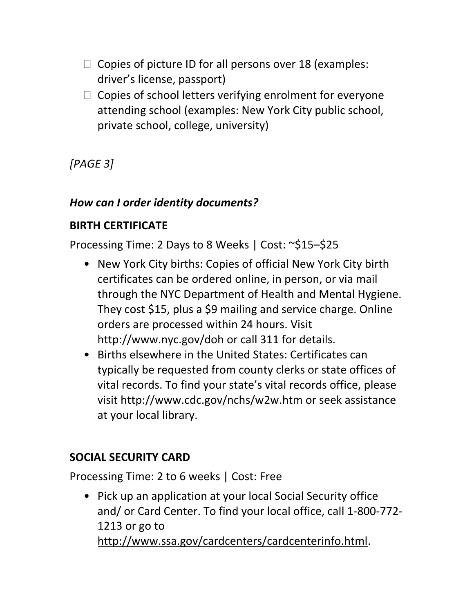- $\Box$  Copies of picture ID for all persons over 18 (examples: driver's license, passport)
- $\Box$  Copies of school letters verifying enrolment for everyone attending school (examples: New York City public school, private school, college, university)

*[PAGE 3]*

### *How can I order identity documents?*

### **BIRTH CERTIFICATE**

Processing Time: 2 Days to 8 Weeks | Cost: ~\$15–\$25

- New York City births: Copies of official New York City birth certificates can be ordered online, in person, or via mail through the NYC Department of Health and Mental Hygiene. They cost \$15, plus a \$9 mailing and service charge. Online orders are processed within 24 hours. Visit http://www.nyc.gov/doh or call 311 for details.
- Births elsewhere in the United States: Certificates can typically be requested from county clerks or state offices of vital records. To find your state's vital records office, please visit http://www.cdc.gov/nchs/w2w.htm or seek assistance at your local library.

#### **SOCIAL SECURITY CARD**

Processing Time: 2 to 6 weeks | Cost: Free

• Pick up an application at your local Social Security office and/ or Card Center. To find your local office, call 1-800-772- 1213 or go to [http://www.ssa.gov/cardcenters/cardcenterinfo.html.](http://www.ssa.gov/cardcenters/cardcenterinfo.html)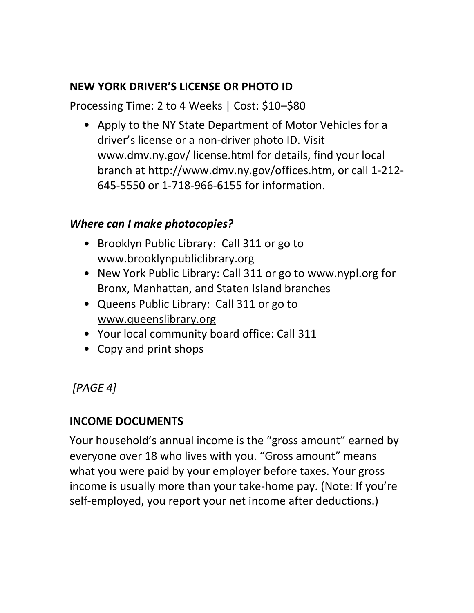### **NEW YORK DRIVER'S LICENSE OR PHOTO ID**

Processing Time: 2 to 4 Weeks | Cost: \$10–\$80

• Apply to the NY State Department of Motor Vehicles for a driver's license or a non-driver photo ID. Visit www.dmv.ny.gov/ license.html for details, find your local branch at http://www.dmv.ny.gov/offices.htm, or call 1-212- 645-5550 or 1-718-966-6155 for information.

#### *Where can I make photocopies?*

- Brooklyn Public Library: Call 311 or go to www.brooklynpubliclibrary.org
- New York Public Library: Call 311 or go to www.nypl.org for Bronx, Manhattan, and Staten Island branches
- Queens Public Library: Call 311 or go to [www.queenslibrary.org](http://www.queenslibrary.org/)
- Your local community board office: Call 311
- Copy and print shops

*[PAGE 4]*

### **INCOME DOCUMENTS**

Your household's annual income is the "gross amount" earned by everyone over 18 who lives with you. "Gross amount" means what you were paid by your employer before taxes. Your gross income is usually more than your take-home pay. (Note: If you're self-employed, you report your net income after deductions.)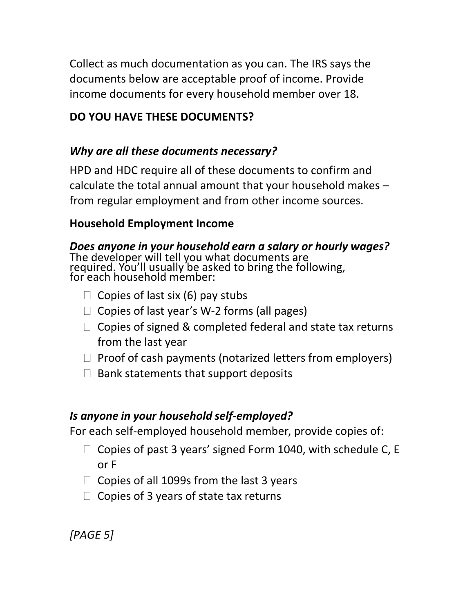Collect as much documentation as you can. The IRS says the documents below are acceptable proof of income. Provide income documents for every household member over 18.

### **DO YOU HAVE THESE DOCUMENTS?**

#### *Why are all these documents necessary?*

HPD and HDC require all of these documents to confirm and calculate the total annual amount that your household makes – from regular employment and from other income sources.

#### **Household Employment Income**

*Does anyone in your household earn a salary or hourly wages?* The developer will tell you what documents are required. You'll usually be asked to bring the following,<br>for each household member:

- $\Box$  Copies of last six (6) pay stubs
- $\Box$  Copies of last year's W-2 forms (all pages)
- $\Box$  Copies of signed & completed federal and state tax returns from the last year
- $\Box$  Proof of cash payments (notarized letters from employers)
- $\Box$  Bank statements that support deposits

### *Is anyone in your household self-employed?*

For each self-employed household member, provide copies of:

- $\Box$  Copies of past 3 years' signed Form 1040, with schedule C, E or F
- $\Box$  Copies of all 1099s from the last 3 years
- $\Box$  Copies of 3 years of state tax returns

*[PAGE 5]*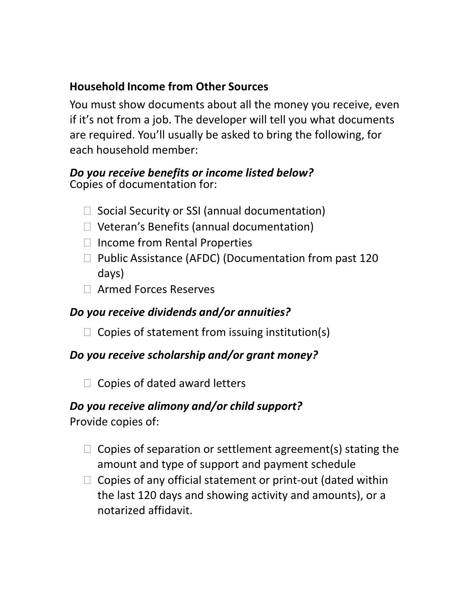# **Household Income from Other Sources**

You must show documents about all the money you receive, even if it's not from a job. The developer will tell you what documents are required. You'll usually be asked to bring the following, for each household member:

#### *Do you receive benefits or income listed below?* Copies of documentation for:

- $\Box$  Social Security or SSI (annual documentation)
- Veteran's Benefits (annual documentation)
- $\Box$  Income from Rental Properties
- $\Box$  Public Assistance (AFDC) (Documentation from past 120 days)
- Armed Forces Reserves

### *Do you receive dividends and/or annuities?*

 $\Box$  Copies of statement from issuing institution(s)

### *Do you receive scholarship and/or grant money?*

 $\Box$  Copies of dated award letters

# *Do you receive alimony and/or child support?*

Provide copies of:

- $\Box$  Copies of separation or settlement agreement(s) stating the amount and type of support and payment schedule
- $\Box$  Copies of any official statement or print-out (dated within the last 120 days and showing activity and amounts), or a notarized affidavit.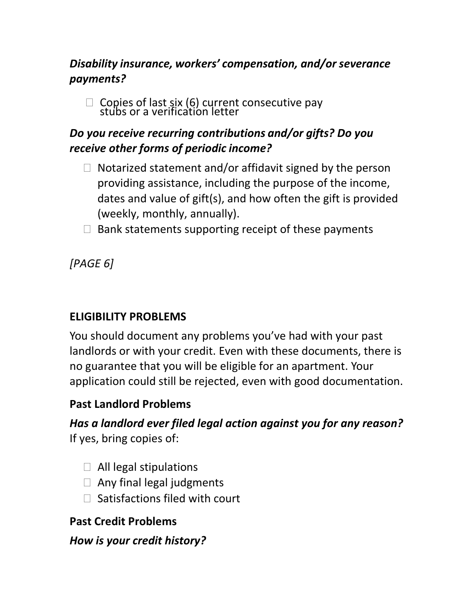### *Disability insurance, workers' compensation, and/or severance payments?*

 $\Box$  Copies of last six (6) current consecutive pay stubs or a verification letter

# *Do you receive recurring contributions and/or gifts? Do you receive other forms of periodic income?*

- $\Box$  Notarized statement and/or affidavit signed by the person providing assistance, including the purpose of the income, dates and value of gift(s), and how often the gift is provided (weekly, monthly, annually).
- $\Box$  Bank statements supporting receipt of these payments

*[PAGE 6]*

### **ELIGIBILITY PROBLEMS**

You should document any problems you've had with your past landlords or with your credit. Even with these documents, there is no guarantee that you will be eligible for an apartment. Your application could still be rejected, even with good documentation.

### **Past Landlord Problems**

*Has a landlord ever filed legal action against you for any reason?* If yes, bring copies of:

- $\Box$  All legal stipulations
- $\Box$  Any final legal judgments
- $\Box$  Satisfactions filed with court

### **Past Credit Problems**

*How is your credit history?*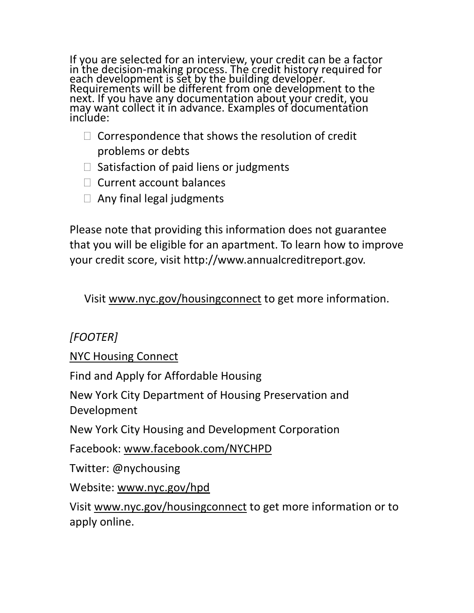If you are selected for an interview, your credit can be a factor<br>in the decision-making process. The credit history required for<br>each development is set by the building developer.<br>Requirements will be different from one d next. If you have any documentation about your credit, you may want collect it in advance. Examples of documentation  $include:$ 

- $\Box$  Correspondence that shows the resolution of credit problems or debts
- $\Box$  Satisfaction of paid liens or judgments
- $\Box$  Current account balances
- $\Box$  Any final legal judgments

Please note that providing this information does not guarantee that you will be eligible for an apartment. To learn how to improve your credit score, visit [http://www.annualcreditreport.gov.](http://www.annualcreditreport.gov/)

Visit [www.nyc.gov/housingconnect](http://www.nyc.gov/housingconnect) to get more information.

# *[FOOTER]*

[NYC Housing Connect](http://www.nyc.gov/housingconnect)

Find and Apply for Affordable Housing

New York City Department of Housing Preservation and Development

New York City Housing and Development Corporation

Facebook: [www.facebook.com/NYCHPD](http://www.facebook.com/NYCHPD)

Twitter: @nychousing

Website: [www.nyc.gov/hpd](http://www.nyc.gov/hpd)

Visit [www.nyc.gov/housingconnect](http://www.nyc.gov/housingconnect) to get more information or to apply online.